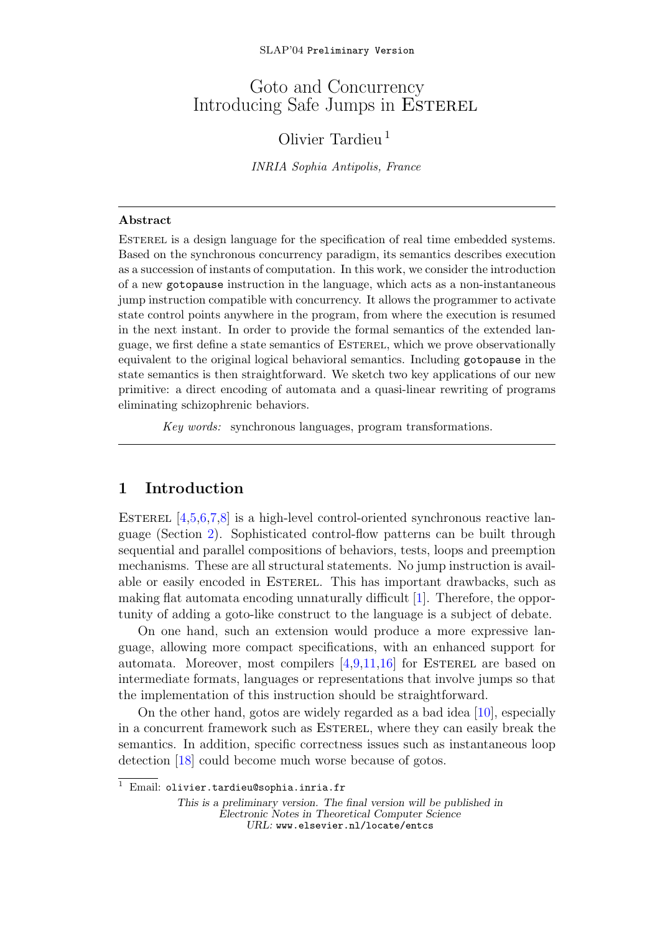# Goto and Concurrency Introducing Safe Jumps in ESTEREL

## Olivier Tardieu <sup>1</sup>

INRIA Sophia Antipolis, France

## Abstract

ESTEREL is a design language for the specification of real time embedded systems. Based on the synchronous concurrency paradigm, its semantics describes execution as a succession of instants of computation. In this work, we consider the introduction of a new gotopause instruction in the language, which acts as a non-instantaneous jump instruction compatible with concurrency. It allows the programmer to activate state control points anywhere in the program, from where the execution is resumed in the next instant. In order to provide the formal semantics of the extended language, we first define a state semantics of Esterel, which we prove observationally equivalent to the original logical behavioral semantics. Including gotopause in the state semantics is then straightforward. We sketch two key applications of our new primitive: a direct encoding of automata and a quasi-linear rewriting of programs eliminating schizophrenic behaviors.

Key words: synchronous languages, program transformations.

## 1 Introduction

ESTEREL  $[4,5,6,7,8]$  $[4,5,6,7,8]$  $[4,5,6,7,8]$  $[4,5,6,7,8]$  $[4,5,6,7,8]$  is a high-level control-oriented synchronous reactive language (Section [2\)](#page-1-0). Sophisticated control-flow patterns can be built through sequential and parallel compositions of behaviors, tests, loops and preemption mechanisms. These are all structural statements. No jump instruction is available or easily encoded in ESTEREL. This has important drawbacks, such as making flat automata encoding unnaturally difficult [\[1\]](#page-13-5). Therefore, the opportunity of adding a goto-like construct to the language is a subject of debate.

On one hand, such an extension would produce a more expressive language, allowing more compact specifications, with an enhanced support for automata. Moreover, most compilers  $[4,9,11,16]$  $[4,9,11,16]$  $[4,9,11,16]$  $[4,9,11,16]$  for ESTEREL are based on intermediate formats, languages or representations that involve jumps so that the implementation of this instruction should be straightforward.

On the other hand, gotos are widely regarded as a bad idea [\[10\]](#page-14-3), especially in a concurrent framework such as ESTEREL, where they can easily break the semantics. In addition, specific correctness issues such as instantaneous loop detection [\[18\]](#page-14-4) could become much worse because of gotos.

<sup>1</sup> Email: olivier.tardieu@sophia.inria.fr

This is a preliminary version. The final version will be published in Electronic Notes in Theoretical Computer Science URL: www.elsevier.nl/locate/entcs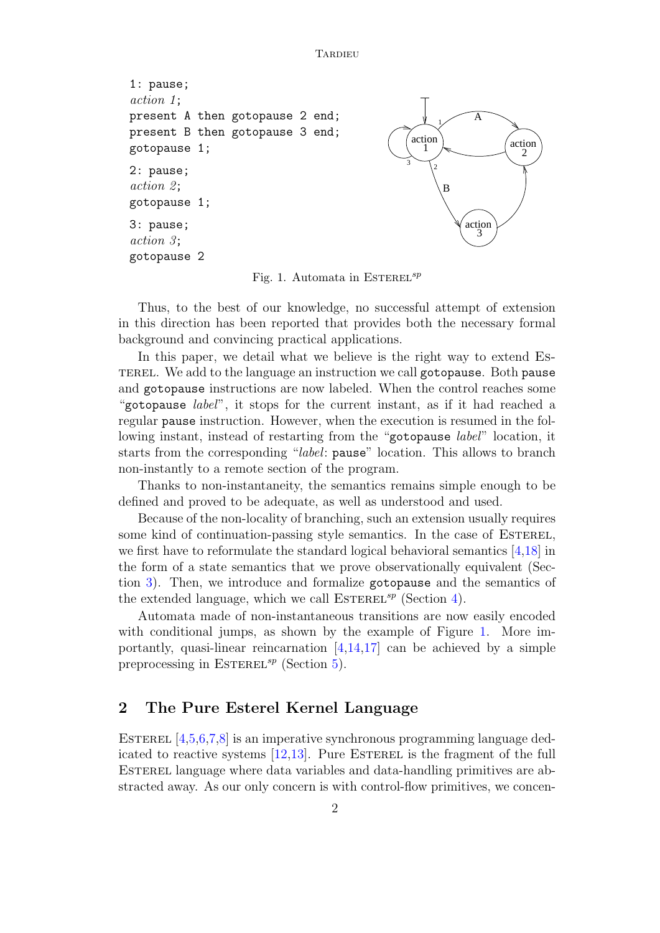```
1: pause;
action 1;
present A then gotopause 2 end;
present B then gotopause 3 end;
gotopause 1;
2: pause;
action 2;
gotopause 1;
3: pause;
action 3;
gotopause 2
                                                                     2
                                                               3
                                                                      1
                                                                              A
                                                                       B
                                                                  1 \sim 2 3
                                                                \arcsin \left( \arccos \left( \arccos \left( \arccos \left( \frac{\pi}{2} \right) \right) \right) \right)action
```
<span id="page-1-1"></span>Fig. 1. Automata in ESTEREL<sup>sp</sup>

Thus, to the best of our knowledge, no successful attempt of extension in this direction has been reported that provides both the necessary formal background and convincing practical applications.

In this paper, we detail what we believe is the right way to extend Esthere the add to the language an instruction we call gotopause. Both pause and gotopause instructions are now labeled. When the control reaches some "gotopause label", it stops for the current instant, as if it had reached a regular pause instruction. However, when the execution is resumed in the following instant, instead of restarting from the "gotopause *label*" location, it starts from the corresponding "label: pause" location. This allows to branch non-instantly to a remote section of the program.

Thanks to non-instantaneity, the semantics remains simple enough to be defined and proved to be adequate, as well as understood and used.

Because of the non-locality of branching, such an extension usually requires some kind of continuation-passing style semantics. In the case of ESTEREL, we first have to reformulate the standard logical behavioral semantics [\[4](#page-13-0)[,18\]](#page-14-4) in the form of a state semantics that we prove observationally equivalent (Section [3\)](#page-3-0). Then, we introduce and formalize gotopause and the semantics of the extended language, which we call  $\text{ESTEREL}^{sp}$  (Section [4\)](#page-9-0).

Automata made of non-instantaneous transitions are now easily encoded with conditional jumps, as shown by the example of Figure [1.](#page-1-1) More importantly, quasi-linear reincarnation  $[4,14,17]$  $[4,14,17]$  $[4,14,17]$  can be achieved by a simple preprocessing in ESTEREL<sup>sp</sup> (Section [5\)](#page-11-0).

## <span id="page-1-0"></span>2 The Pure Esterel Kernel Language

ESTEREL  $[4,5,6,7,8]$  $[4,5,6,7,8]$  $[4,5,6,7,8]$  $[4,5,6,7,8]$  $[4,5,6,7,8]$  is an imperative synchronous programming language dedicated to reactive systems  $[12,13]$  $[12,13]$ . Pure ESTEREL is the fragment of the full Esterel language where data variables and data-handling primitives are abstracted away. As our only concern is with control-flow primitives, we concen-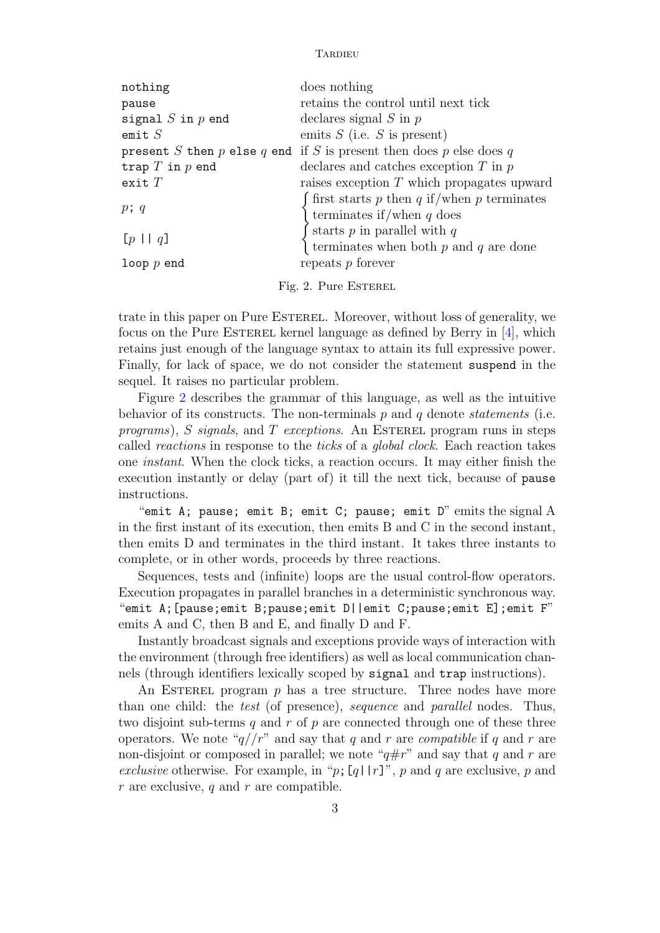```
TARDIEU
```

| nothing               | does nothing                                                                                                                                 |  |  |
|-----------------------|----------------------------------------------------------------------------------------------------------------------------------------------|--|--|
| pause                 | retains the control until next tick                                                                                                          |  |  |
| signal $S$ in $p$ end | declares signal $S$ in $p$                                                                                                                   |  |  |
| emit $S$              | emits $S$ (i.e. $S$ is present)                                                                                                              |  |  |
|                       | present S then $p$ else $q$ end if S is present then does $p$ else does $q$                                                                  |  |  |
| trap $T$ in $p$ end   | declares and catches exception $T$ in $p$                                                                                                    |  |  |
| $ext{ext}$            | raises exception $T$ which propagates upward                                                                                                 |  |  |
| p; q                  | $\left\{ \begin{array}{l} \mbox{first starts $p$ then $q$ if/when $p$ terminates} \\ \mbox{terminates if/when $q$ does} \end{array} \right.$ |  |  |
| $[p \mid q]$          | starts $p$ in parallel with $q$<br>l terminates when both $p$ and $q$ are done                                                               |  |  |
| loop $p$ end          | repeats $p$ for ever                                                                                                                         |  |  |
| Fig. 2. Pure ESTEREL  |                                                                                                                                              |  |  |

<span id="page-2-0"></span>trate in this paper on Pure ESTEREL. Moreover, without loss of generality, we focus on the Pure ESTEREL kernel language as defined by Berry in  $[4]$ , which retains just enough of the language syntax to attain its full expressive power. Finally, for lack of space, we do not consider the statement suspend in the sequel. It raises no particular problem.

Figure [2](#page-2-0) describes the grammar of this language, as well as the intuitive behavior of its constructs. The non-terminals  $p$  and  $q$  denote *statements* (i.e. programs), S signals, and T exceptions. An ESTEREL program runs in steps called reactions in response to the ticks of a global clock. Each reaction takes one instant. When the clock ticks, a reaction occurs. It may either finish the execution instantly or delay (part of) it till the next tick, because of pause instructions.

"emit A; pause; emit B; emit C; pause; emit D" emits the signal  $A$ in the first instant of its execution, then emits B and C in the second instant, then emits D and terminates in the third instant. It takes three instants to complete, or in other words, proceeds by three reactions.

Sequences, tests and (infinite) loops are the usual control-flow operators. Execution propagates in parallel branches in a deterministic synchronous way. "emit A;[pause;emit B;pause;emit D||emit C;pause;emit E];emit F" emits A and C, then B and E, and finally D and F.

Instantly broadcast signals and exceptions provide ways of interaction with the environment (through free identifiers) as well as local communication channels (through identifiers lexically scoped by signal and trap instructions).

An ESTEREL program  $p$  has a tree structure. Three nodes have more than one child: the test (of presence), sequence and parallel nodes. Thus, two disjoint sub-terms q and  $r$  of  $p$  are connected through one of these three operators. We note " $q/r$ " and say that q and r are *compatible* if q and r are non-disjoint or composed in parallel; we note " $q \# r$ " and say that q and r are exclusive otherwise. For example, in "p;  $[q][r]$ ", p and q are exclusive, p and  $r$  are exclusive, q and  $r$  are compatible.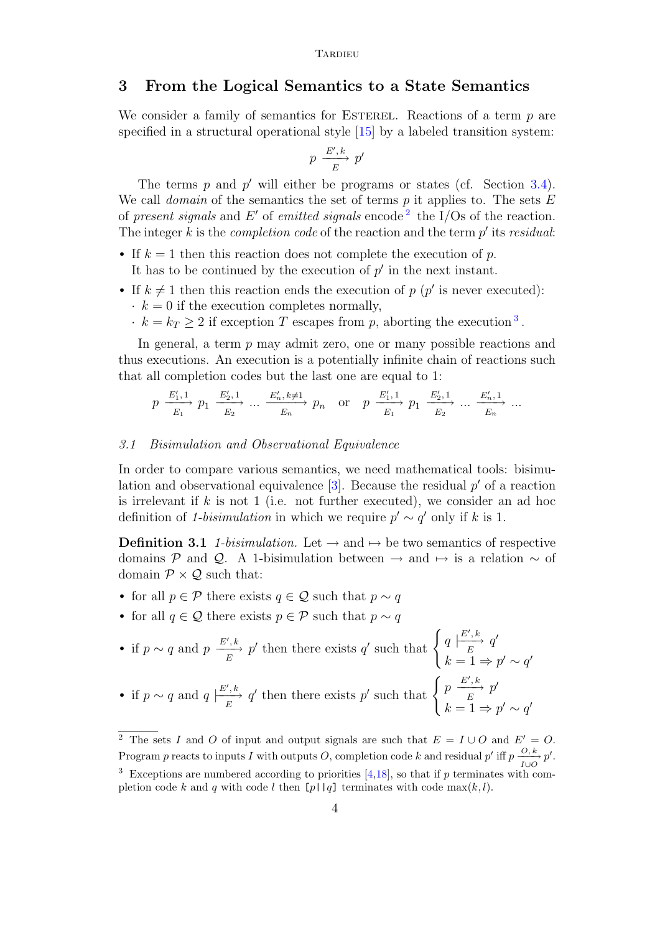## <span id="page-3-0"></span>3 From the Logical Semantics to a State Semantics

We consider a family of semantics for ESTEREL. Reactions of a term  $p$  are specified in a structural operational style [\[15\]](#page-14-9) by a labeled transition system:

$$
p \xrightarrow{E',k} p'
$$

The terms  $p$  and  $p'$  will either be programs or states (cf. Section [3.4\)](#page-7-0). We call *domain* of the semantics the set of terms p it applies to. The sets  $E$ of present signals and E' of emitted signals encode<sup>[2](#page-3-1)</sup> the I/Os of the reaction. The integer  $k$  is the *completion code* of the reaction and the term  $p'$  its *residual*:

- If  $k = 1$  then this reaction does not complete the execution of p. It has to be continued by the execution of  $p'$  in the next instant.
- If  $k \neq 1$  then this reaction ends the execution of p (p' is never executed):  $\cdot$  k = 0 if the execution completes normally,
	- $k = k_T \geq 2$  if exception T escapes from p, aborting the execution<sup>[3](#page-3-2)</sup>.

In general, a term p may admit zero, one or many possible reactions and thus executions. An execution is a potentially infinite chain of reactions such that all completion codes but the last one are equal to 1:

$$
p \xrightarrow{E'_1, 1} p_1 \xrightarrow{E'_2, 1} \dots \xrightarrow{E'_n, k \neq 1} p_n \quad \text{or} \quad p \xrightarrow{E'_1, 1} p_1 \xrightarrow{E'_2, 1} \dots \xrightarrow{E'_n, 1} \dots
$$

#### 3.1 Bisimulation and Observational Equivalence

In order to compare various semantics, we need mathematical tools: bisimulation and observational equivalence  $[3]$ . Because the residual  $p'$  of a reaction is irrelevant if  $k$  is not 1 (i.e. not further executed), we consider an ad hoc definition of 1-bisimulation in which we require  $p' \sim q'$  only if k is 1.

**Definition 3.1** 1-bisimulation. Let  $\rightarrow$  and  $\rightarrow$  be two semantics of respective domains P and Q. A 1-bisimulation between  $\rightarrow$  and  $\rightarrow$  is a relation  $\sim$  of domain  $P \times Q$  such that:

- for all  $p \in \mathcal{P}$  there exists  $q \in \mathcal{Q}$  such that  $p \sim q$
- for all  $q \in \mathcal{Q}$  there exists  $p \in \mathcal{P}$  such that  $p \sim q$

\n- if 
$$
p \sim q
$$
 and  $p \xrightarrow{E',k} p'$  then there exists  $q'$  such that  $\begin{cases} q \xrightarrow{E',k} q' \\ k = 1 \Rightarrow p' \sim q' \end{cases}$
\n- if  $p \sim q$  and  $q \xrightarrow{E',k} q'$  then there exists  $p'$  such that  $\begin{cases} p \xrightarrow{E',k} p' \\ k = 1 \Rightarrow p' \sim q' \end{cases}$
\n

<span id="page-3-2"></span><span id="page-3-1"></span><sup>&</sup>lt;sup>2</sup> The sets I and O of input and output signals are such that  $E = I \cup O$  and  $E' = O$ . Program p reacts to inputs I with outputs O, completion code k and residual p' iff  $p \frac{O, k}{I\cup O} p'$ . <sup>3</sup> Exceptions are numbered according to priorities  $[4,18]$  $[4,18]$ , so that if p terminates with completion code k and q with code l then  $[p||q]$  terminates with code max(k, l).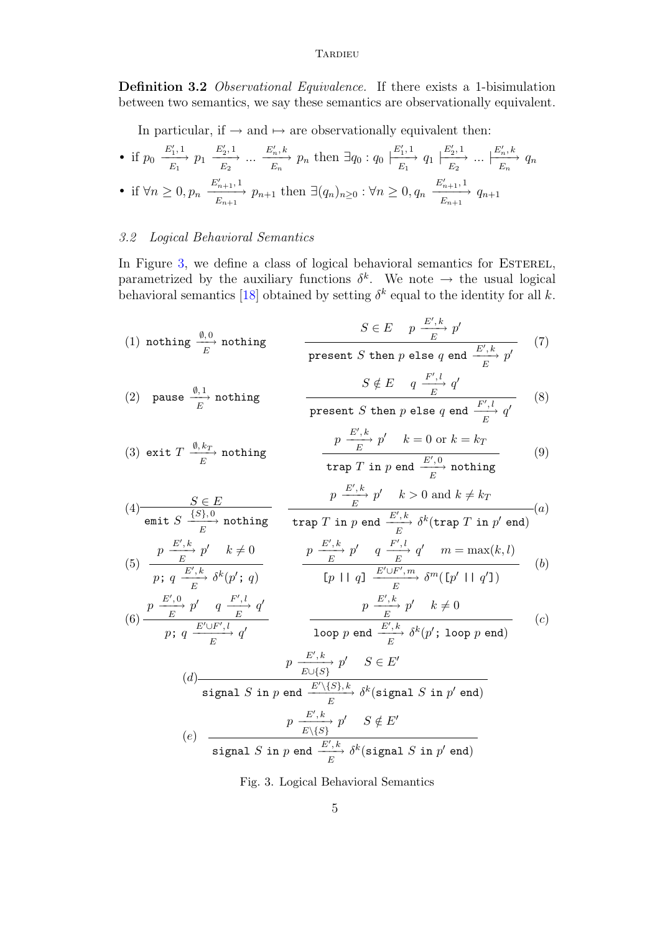Definition 3.2 Observational Equivalence. If there exists a 1-bisimulation between two semantics, we say these semantics are observationally equivalent.

In particular, if  $\rightarrow$  and  $\rightarrow$  are observationally equivalent then:

• if 
$$
p_0 \xrightarrow{E'_1, 1} p_1 \xrightarrow{E'_2, 1} \dots \xrightarrow{E'_n, k} p_n
$$
 then  $\exists q_0 : q_0 \xrightarrow{E'_1, 1} q_1 \xrightarrow{E'_2, 1} \dots \xrightarrow{E'_n, k} q_n$   
• if  $\forall n \ge 0, p_n \xrightarrow{E'_{n+1}, 1} p_{n+1}$  then  $\exists (q_n)_{n \ge 0} : \forall n \ge 0, q_n \xrightarrow{E'_{n+1}, 1} q_{n+1}$ 

## 3.2 Logical Behavioral Semantics

In Figure [3,](#page-4-0) we define a class of logical behavioral semantics for ESTEREL, parametrized by the auxiliary functions  $\delta^k$ . We note  $\rightarrow$  the usual logical behavioral semantics [\[18\]](#page-14-4) obtained by setting  $\delta^k$  equal to the identity for all k.

(1) nothing 
$$
\frac{\emptyset, 0}{E}
$$
 nothing  $\frac{S \in E \quad p \frac{E', k}{E} p'}{\text{present } S \text{ then } p \text{ else } q \text{ end } \frac{E', k}{E} p'}$  (7)  
\n(2) pause  $\frac{\emptyset, 1}{E}$  nothing  $\frac{S \notin E \quad q \frac{F', l}{E} q'}{\text{if } P', l'}$  (8)

present *S* then *p* else *q* end 
$$
\frac{F', l}{E'}
$$
 *q'* (8)

(3) exit 
$$
T \xrightarrow[E]{\emptyset, k_T \atop E}
$$
 nothing 
$$
\frac{p \xrightarrow{E', k} p' \quad k = 0 \text{ or } k = k_T}{\text{trap } T \text{ in } p \text{ end } \xrightarrow{E', 0} \text{nothing}}
$$
(9)

$$
(4) \frac{S \in E}{\text{emit } S \xrightarrow{\{S\},0} \text{nothing} \text{ nothing}} \frac{p \xrightarrow{E',k} p' \quad k > 0 \text{ and } k \neq k_T}{\text{trap } T \text{ in } p \text{ end}} \frac{p \xrightarrow{E',k} \delta^k(\text{trap } T \text{ in } p' \text{ end})}{E} (a)
$$
\n
$$
(5) \frac{p \xrightarrow{E',k} p' \quad k \neq 0}{E} \frac{p \xrightarrow{E',k} p' \quad q \xrightarrow{F',l} q' \quad m = \max(k,l)}{E} (b)
$$
\n
$$
(7) \frac{p \xrightarrow{E',k} p' \quad k \neq 0}{E} \frac{p \xrightarrow{E',k} p' \quad q \xrightarrow{F',l} q' \quad m = \max(k,l)}{E} (b)
$$

$$
(6) \frac{p \xrightarrow{E',0} p' \qquad q \xrightarrow{F',l} q'}{p; \ q \xrightarrow{E' \cup F',l} q'} \qquad \frac{p \xrightarrow{E',k} p' \qquad k \neq 0}{\text{loop } p \text{ end } \xrightarrow{E',k} \delta^k(p'; \text{ loop } p \text{ end})}
$$

loop *p* end 
$$
\xrightarrow{E', k} \delta^k(p'; \text{loop } p \text{ end})
$$

| $p$     | $E', k$                                                                                              | $p'$                                     | $S \in E'$ |
|---------|------------------------------------------------------------------------------------------------------|------------------------------------------|------------|
| ( $d$ ) | signal $S$ in $p$ end $\xrightarrow{E' \setminus \{S\}, k}$ $\delta^k(\text{signal } S$ in $p'$ end) |                                          |            |
| ( $e$ ) | $p$                                                                                                  | $\xrightarrow{E', k}$ $p'$ $S \notin E'$ |            |
| ( $e$ ) | signal $S$ in $p$ end $\xrightarrow{E', k}$ $\delta^k(\text{signal } S$ in $p'$ end)                 |                                          |            |

<span id="page-4-0"></span>Fig. 3. Logical Behavioral Semantics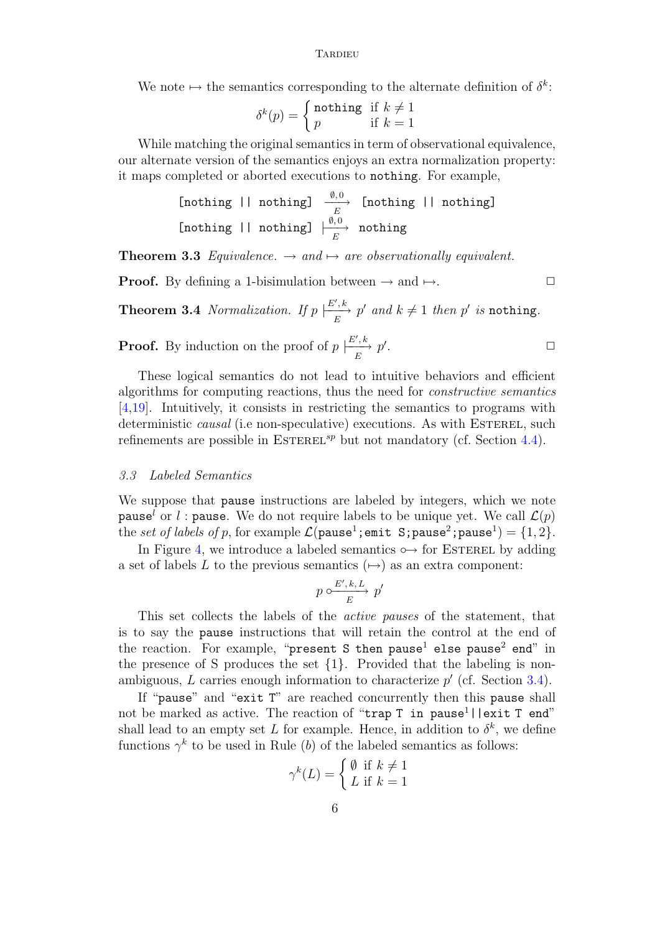We note  $\mapsto$  the semantics corresponding to the alternate definition of  $\delta^k$ :

$$
\delta^k(p) = \begin{cases} \text{nothing} & \text{if } k \neq 1 \\ p & \text{if } k = 1 \end{cases}
$$

While matching the original semantics in term of observational equivalence, our alternate version of the semantics enjoys an extra normalization property: it maps completed or aborted executions to nothing. For example,

$$
\begin{array}{ll}\n\text{[nothing || nothing]} & \xrightarrow{0,0} & \text{[nothing || nothing]} \\
\text{[nothing || nothing]} & \xrightarrow{0,0} & \text{nothing} \\
\hline\n\end{array}
$$

<span id="page-5-0"></span>**Theorem 3.3** Equivalence.  $\rightarrow$  and  $\rightarrow$  are observationally equivalent.

**Proof.** By defining a 1-bisimulation between  $\rightarrow$  and  $\rightarrow$ .

**Theorem 3.4** Normalization. If  $p \nvert \frac{E', k}{E}$   $p'$  and  $k \neq 1$  then  $p'$  is nothing.

**Proof.** By induction on the proof of  $p \nightharpoonup_E^{E',k} p'$ .  $\Box$ 

These logical semantics do not lead to intuitive behaviors and efficient algorithms for computing reactions, thus the need for constructive semantics [\[4](#page-13-0)[,19\]](#page-14-10). Intuitively, it consists in restricting the semantics to programs with deterministic *causal* (i.e non-speculative) executions. As with ESTEREL, such refinements are possible in  $\text{ESTEREL}^{sp}$  but not mandatory (cf. Section [4.4\)](#page-11-1).

#### 3.3 Labeled Semantics

We suppose that pause instructions are labeled by integers, which we note pause<sup>l</sup> or l : pause. We do not require labels to be unique yet. We call  $\mathcal{L}(p)$ the set of labels of p, for example  $\mathcal{L}(\texttt{pause}^1; \texttt{emit S}; \texttt{pause}^2; \texttt{pause}^1) = \{1,2\}.$ 

In Figure [4,](#page-6-0) we introduce a labeled semantics  $\sim$  for ESTEREL by adding a set of labels L to the previous semantics  $(\rightarrow)$  as an extra component:

$$
p \xrightarrow{E', k, L} p'
$$

This set collects the labels of the active pauses of the statement, that is to say the pause instructions that will retain the control at the end of the reaction. For example, "present S then pause<sup>1</sup> else pause<sup>2</sup> end" in the presence of S produces the set {1}. Provided that the labeling is nonambiguous,  $L$  carries enough information to characterize  $p'$  (cf. Section [3.4\)](#page-7-0).

If "pause" and "exit T" are reached concurrently then this pause shall not be marked as active. The reaction of "trap  $T$  in pause<sup>1</sup> | exit  $T$  end" shall lead to an empty set L for example. Hence, in addition to  $\delta^k$ , we define functions  $\gamma^k$  to be used in Rule (b) of the labeled semantics as follows:

$$
\gamma^k(L) = \begin{cases} \emptyset & \text{if } k \neq 1 \\ L & \text{if } k = 1 \end{cases}
$$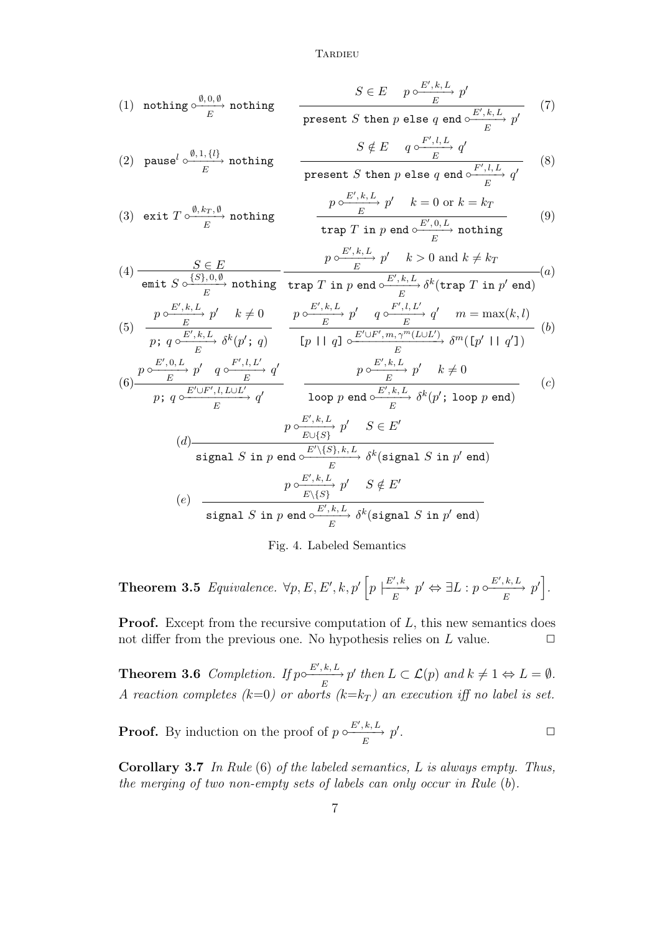(1) nothing 
$$
\frac{S \in E \ p \circ \frac{E',k,L}{E} p' \ p \text{ present } S \text{ then } p \text{ else } q \text{ end } \circ \frac{E',k,L}{E} p' \ \text{(7)}
$$
  
\n(2) pause<sup>l</sup>  $\circ \frac{\emptyset,1,\{l\}}{E}$  nothing  $\frac{S \notin E \ q \circ \frac{F',l,L}{E} q'}{S \notin E \ q \circ \frac{F',l,L}{E} q' \ \text{(8)}$   
\n(3) exit  $T \circ \frac{\emptyset,kr,\emptyset}{E}$  nothing  $\frac{p \circ \frac{E',k,L}{E}}{trap T \text{ in } p \text{ end } \frac{\circ \frac{E',l,L}{E}}{E}$  (9)  
\n(1)  $\frac{S \in E}{\text{ent } S \text{ of } \frac{S,0,0}{E}}$  nothing  $\frac{p \circ \frac{E',k,L}{E}}{trap T \text{ in } p \text{ end } \frac{\circ \frac{E',k,L}{E}}{E}$  nothing (9)  
\n(1)  $\frac{S \in E}{\text{ent } S \circ \frac{S,0,0}{E}}$  nothing  $\text{trap } T \text{ in } p \text{ end } \frac{\circ \frac{E',k,L}{E}}{E} \circ \text{for thing} \ (a)$   
\n(2) exist  $T \circ \frac{\frac{\mathbb{R}}{E} \circ \frac{E}{E}}{E}$  nothing  $\frac{p \circ \frac{E',k,L}{E}}{trap T \text{ in } p \text{ end } \frac{\circ \frac{E',k,L}{E}}{E} \circ \text{for } k \neq kr}$   
\n(3) exit  $T \circ \frac{\frac{\mathbb{R}}{E} \circ \frac{E}{E}}{E}$  nothing  $\frac{p \circ \frac{E',k,L}{E}}{trap T \text{ in } p \text{ end } \frac{\circ \frac{E',k,L}{E}}{E} \circ \text{for } k \neq r}$  (1)  
\n(2)  $\frac{S \in E}{\text{ent } S \text{ of } \frac{E,0}{E} \text{ in } p \text{ in } q \text{ in } q \text{ and } \frac{E',k,L}{E} \circ \text{for } k \neq r}$   
\n(3) exit  $T \circ \frac{\frac{\mathbb{R}}{E} \circ \frac{\mathbb{$ 

<span id="page-6-0"></span>

|  |  | Fig. 4. Labeled Semantics |
|--|--|---------------------------|
|--|--|---------------------------|

**Theorem 3.5** Equivalence.  $\forall p, E, E', k, p' \left[ p \mid \frac{E', k}{E} \not p' \Leftrightarrow \exists L : p \circ \frac{E', k, L}{E} \not p' \right]$ .

**Proof.** Except from the recursive computation of  $L$ , this new semantics does not differ from the previous one. No hypothesis relies on  $L$  value.  $\Box$ 

**Theorem 3.6** Completion. If  $p \circ \frac{E', k, L}{E} p'$  then  $L \subset \mathcal{L}(p)$  and  $k \neq 1 \Leftrightarrow L = \emptyset$ . A reaction completes (k=0) or aborts (k=k<sub>T</sub>) an execution iff no label is set.

**Proof.** By induction on the proof of  $p \nightharpoonup_E^{E', k, L} p'$ .  $\Box$ 

<span id="page-6-1"></span>Corollary 3.7 In Rule (6) of the labeled semantics, L is always empty. Thus, the merging of two non-empty sets of labels can only occur in Rule (b).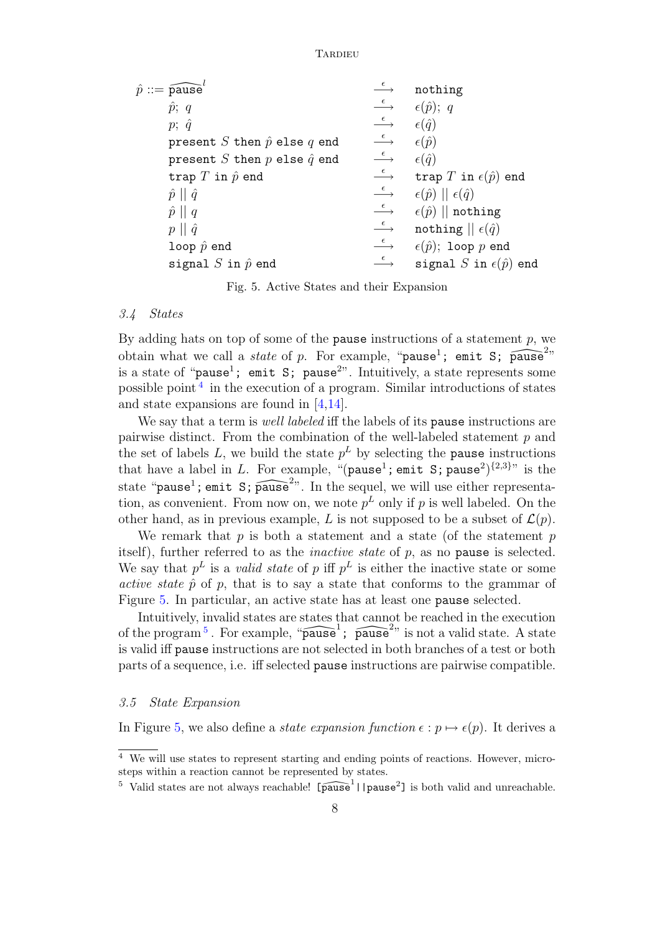| $\hat{p} ::= \tilde{p}$ ause          | $\epsilon$                             | nothing                                    |
|---------------------------------------|----------------------------------------|--------------------------------------------|
| $\hat{p}$ ; q                         | $\xrightarrow{\epsilon}$               | $\epsilon(\hat{p}); q$                     |
| $p; \hat{q}$                          | $\xrightarrow{\quad \epsilon \quad}$   | $\epsilon(\hat{q})$                        |
| present S then $\hat{p}$ else q end   | $\xrightarrow{\epsilon}$               | $\epsilon(\hat{p})$                        |
| present S then $p$ else $\hat{q}$ end | $\xrightarrow{\epsilon}$               | $\epsilon(\hat{q})$                        |
| trap $T$ in $\hat{p}$ end             | $\xrightarrow{\epsilon}$               | trap T in $\epsilon(\hat{p})$ end          |
| $\hat{p} \parallel \hat{q}$           | $\xrightarrow{\epsilon}$               | $\epsilon(\hat{p})$    $\epsilon(\hat{q})$ |
| $\hat{p} \parallel q$                 | $\stackrel{\epsilon}{\longrightarrow}$ | $\epsilon(\hat{p})$    nothing             |
| $p \parallel \hat{q}$                 | $\xrightarrow{\epsilon}$               | nothing $   \epsilon(\hat{q})$             |
| loop $\hat{p}$ end                    | $\xrightarrow{\epsilon}$               | $\epsilon(\hat{p});$ loop p end            |
| signal $S$ in $\hat{p}$ end           | $\xrightarrow{\epsilon}$               | signal S in $\epsilon(\hat{p})$ end        |

<span id="page-7-2"></span>Fig. 5. Active States and their Expansion

### <span id="page-7-0"></span>3.4 States

By adding hats on top of some of the **pause** instructions of a statement  $p$ , we obtain what we call a *state* of p. For example, "pause<sup>1</sup>; emit S;  $\widehat{\text{pause}}^2$ " is a state of "pause<sup>1</sup>; emit S; pause<sup>2"</sup>. Intuitively, a state represents some possible point<sup>[4](#page-7-1)</sup> in the execution of a program. Similar introductions of states and state expansions are found in  $[4,14]$  $[4,14]$ .

We say that a term is *well labeled* iff the labels of its pause instructions are pairwise distinct. From the combination of the well-labeled statement p and the set of labels L, we build the state  $p<sup>L</sup>$  by selecting the pause instructions that have a label in L. For example, "(pause<sup>1</sup>; emit S; pause<sup>2</sup>)<sup>{2,3}</sup>" is the state "pause<sup>1</sup>; emit S;  $\widehat{\text{parse}}^{2}$ ". In the sequel, we will use either representation, as convenient. From now on, we note  $p<sup>L</sup>$  only if p is well labeled. On the other hand, as in previous example, L is not supposed to be a subset of  $\mathcal{L}(p)$ .

We remark that  $p$  is both a statement and a state (of the statement  $p$ ) itself), further referred to as the inactive state of p, as no pause is selected. We say that  $p^L$  is a valid state of p iff  $p^L$  is either the inactive state or some active state  $\hat{p}$  of p, that is to say a state that conforms to the grammar of Figure [5.](#page-7-2) In particular, an active state has at least one pause selected.

Intuitively, invalid states are states that cannot be reached in the execution of the program<sup>[5](#page-7-3)</sup>. For example, "**pause**<sup>1</sup>;  $\widehat{ \text{ pause}}^2$ " is not a valid state. A state is valid iff pause instructions are not selected in both branches of a test or both parts of a sequence, i.e. iff selected pause instructions are pairwise compatible.

## 3.5 State Expansion

In Figure [5,](#page-7-2) we also define a *state expansion function*  $\epsilon : p \mapsto \epsilon(p)$ . It derives a

<span id="page-7-1"></span> $\frac{4}{4}$  We will use states to represent starting and ending points of reactions. However, microsteps within a reaction cannot be represented by states.

<span id="page-7-3"></span><sup>&</sup>lt;sup>5</sup> Valid states are not always reachable!  $\widehat{[{\text{parse}}}^1 | {\text{parse}}^2]$  is both valid and unreachable.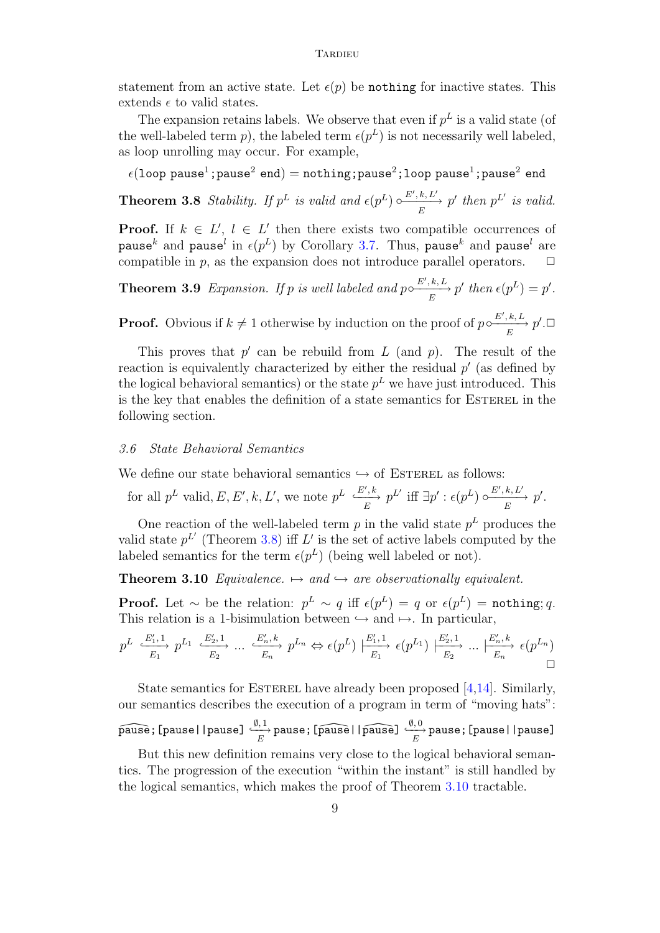statement from an active state. Let  $\epsilon(p)$  be nothing for inactive states. This extends  $\epsilon$  to valid states.

The expansion retains labels. We observe that even if  $p<sup>L</sup>$  is a valid state (of the well-labeled term  $p$ , the labeled term  $\epsilon(p^L)$  is not necessarily well labeled, as loop unrolling may occur. For example,

 $\epsilon(1$ oop pause<sup>1</sup>;pause<sup>2</sup> end) = nothing;pause<sup>2</sup>;1oop pause<sup>1</sup>;pause<sup>2</sup> end

<span id="page-8-0"></span>**Theorem 3.8** Stability. If  $p^L$  is valid and  $\epsilon(p^L) \stackrel{E',k,L'}{=} p'$  then  $p^{L'}$  is valid.

**Proof.** If  $k \in L'$ ,  $l \in L'$  then there exists two compatible occurrences of pause $^k$  and pause $^l$  in  $\epsilon(p^L)$  by Corollary [3.7.](#page-6-1) Thus, pause $^k$  and pause $^l$  are compatible in  $p$ , as the expansion does not introduce parallel operators.

<span id="page-8-2"></span>**Theorem 3.9** Expansion. If p is well labeled and  $p \circ \frac{E', k, L}{E}$  p' then  $\epsilon(p^L) = p'$ .

**Proof.** Obvious if  $k \neq 1$  otherwise by induction on the proof of  $p \circ \frac{E', k, L}{E}$ ,  $p' \Box$ 

This proves that  $p'$  can be rebuild from  $L$  (and  $p$ ). The result of the reaction is equivalently characterized by either the residual  $p'$  (as defined by the logical behavioral semantics) or the state  $p<sup>L</sup>$  we have just introduced. This is the key that enables the definition of a state semantics for ESTEREL in the following section.

### <span id="page-8-3"></span>3.6 State Behavioral Semantics

We define our state behavioral semantics  $\hookrightarrow$  of ESTEREL as follows:

for all  $p^L$  valid, E, E', k, L', we note  $p^L \xrightarrow[E',k]{} p^L'$  iff  $\exists p' : \epsilon(p^L) \xrightarrow[E',k,L']} p'.$ 

One reaction of the well-labeled term  $p$  in the valid state  $p<sup>L</sup>$  produces the valid state  $p^L'$  (Theorem [3.8\)](#page-8-0) iff L' is the set of active labels computed by the labeled semantics for the term  $\epsilon(p^L)$  (being well labeled or not).

## <span id="page-8-1"></span>**Theorem 3.10** Equivalence.  $\mapsto$  and  $\hookrightarrow$  are observationally equivalent.

**Proof.** Let ~ be the relation:  $p^L \sim q$  iff  $\epsilon(p^L) = q$  or  $\epsilon(p^L) =$  nothing; q. This relation is a 1-bisimulation between  $\hookrightarrow$  and  $\mapsto$ . In particular,

$$
p^L \xrightarrow{E'_1, 1} p^{L_1} \xrightarrow{E'_2, 1} \dots \xrightarrow{E'_n, k} p^{L_n} \Leftrightarrow \epsilon(p^L) \xrightarrow{E'_1, 1} \epsilon(p^{L_1}) \xrightarrow{E'_2, 1} \dots \xrightarrow{E'_n, k} \epsilon(p^{L_n})
$$

State semantics for ESTEREL have already been proposed  $[4,14]$  $[4,14]$ . Similarly, our semantics describes the execution of a program in term of "moving hats":  $\emptyset$ , 1  $\emptyset$ , 0

$$
\widehat{\text{pause}}; \text{[pause | [pause] } \xrightarrow{0,1} \text{pause}; \text{[pause | [pause] } \xrightarrow{0,0} \text{pause}; \text{[pause | [pause] }
$$

But this new definition remains very close to the logical behavioral semantics. The progression of the execution "within the instant" is still handled by the logical semantics, which makes the proof of Theorem [3.10](#page-8-1) tractable.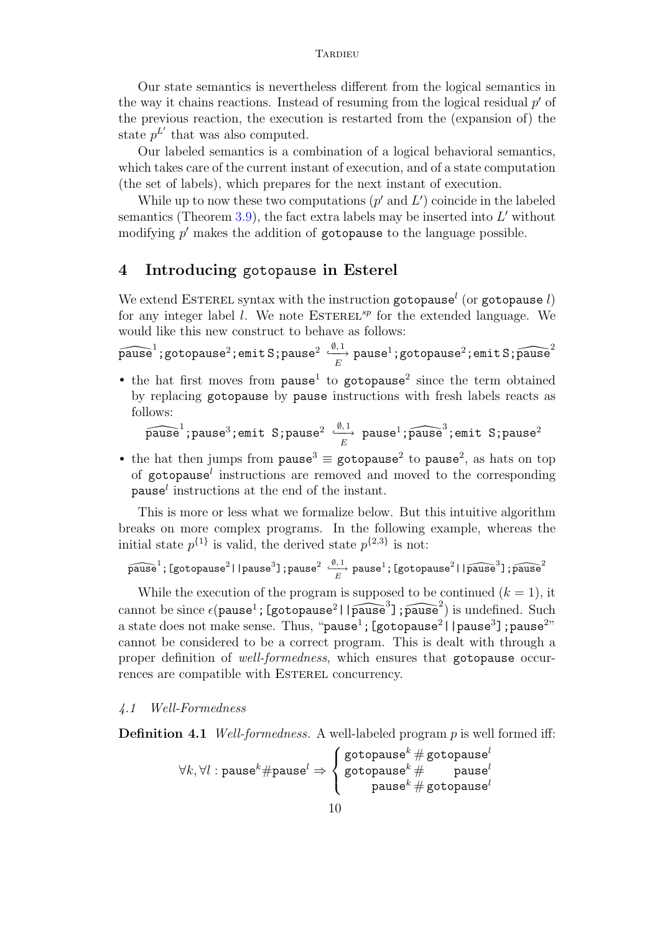#### Tardieu

Our state semantics is nevertheless different from the logical semantics in the way it chains reactions. Instead of resuming from the logical residual  $p'$  of the previous reaction, the execution is restarted from the (expansion of) the state  $p^L'$  that was also computed.

Our labeled semantics is a combination of a logical behavioral semantics, which takes care of the current instant of execution, and of a state computation (the set of labels), which prepares for the next instant of execution.

While up to now these two computations  $(p'$  and  $L'$ ) coincide in the labeled semantics (Theorem [3.9\)](#page-8-2), the fact extra labels may be inserted into  $L'$  without modifying  $p'$  makes the addition of gotopause to the language possible.

## <span id="page-9-0"></span>4 Introducing gotopause in Esterel

We extend ESTEREL syntax with the instruction gotopause<sup>l</sup> (or gotopause  $l$ ) for any integer label l. We note  $\text{ESTEREL}^{sp}$  for the extended language. We would like this new construct to behave as follows:

 $\widehat{\mathsf{pause}}^1;$ gotopause $^2$ ;emit $\mathrm{S};$ pause $^2\stackrel{\emptyset,1}{\longrightarrow}$ pause $^1;$ gotopause $^2;$ emit $\mathrm{S};$ pause $^2$ 

• the hat first moves from  ${pause}^1$  to  ${gotopause}^2$  since the term obtained by replacing gotopause by pause instructions with fresh labels reacts as follows:

 $\widehat{\mathsf{pause}}^1$ ;pause<sup>3</sup>;emit S;pause<sup>2</sup>  $\frac{\emptyset, 1}{E}$  pause<sup>1</sup>; $\widehat{\mathsf{pause}}^3$ ;emit S;pause<sup>2</sup>

• the hat then jumps from  $\texttt{pause}^3 \equiv \texttt{gotopause}^2$  to  $\texttt{pause}^2$ , as hats on top of gotopause<sup>l</sup> instructions are removed and moved to the corresponding  $\mathbf{p}$ ause<sup>l</sup> instructions at the end of the instant.

This is more or less what we formalize below. But this intuitive algorithm breaks on more complex programs. In the following example, whereas the initial state  $p^{\{1\}}$  is valid, the derived state  $p^{\{2,3\}}$  is not:

 $\widehat{\mathrm{pause}}^1$ ; [gotopause<sup>2</sup> | |pause<sup>3</sup>];pause<sup>2</sup>  $\frac{\theta,1}{E}$ pause<sup>1</sup>; [gotopause<sup>2</sup> | |pause<sup>3</sup>];pause<sup>2</sup>

While the execution of the program is supposed to be continued  $(k = 1)$ , it cannot be since  $\epsilon$ (pause<sup>1</sup>; [gotopause<sup>2</sup> |  $|\widehat{\text{parse}}^3|$  ;  $\widehat{\text{parse}}^2$ ) is undefined. Such a state does not make sense. Thus, "pause<sup>1</sup>; [gotopause<sup>2</sup>||pause<sup>3</sup>];pause<sup>2"</sup> cannot be considered to be a correct program. This is dealt with through a proper definition of well-formedness, which ensures that gotopause occurrences are compatible with ESTEREL concurrency.

## 4.1 Well-Formedness

**Definition 4.1** Well-formedness. A well-labeled program  $p$  is well formed iff:

$$
\forall k, \forall l: \texttt{pause}^k \# \texttt{pause}^l \Rightarrow \left\{ \begin{matrix} \texttt{gotopause}^k \# \texttt{gotopause}^l \\ \texttt{gotopause}^k \# \texttt{pause}^l \\ \texttt{pause}^k \# \texttt{gotopause}^l \end{matrix} \right.
$$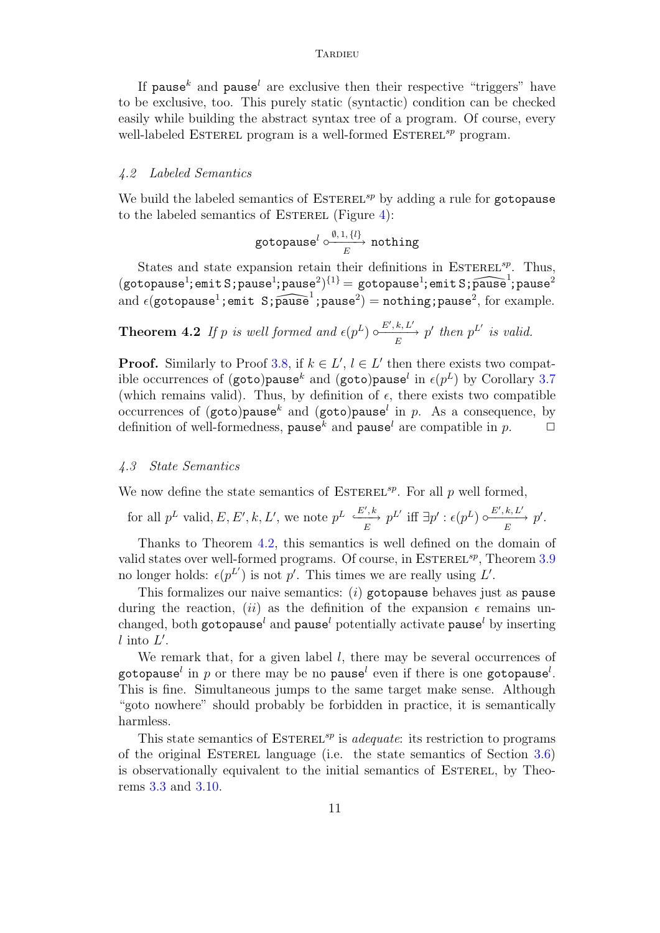If pause<sup>k</sup> and pause<sup>l</sup> are exclusive then their respective "triggers" have to be exclusive, too. This purely static (syntactic) condition can be checked easily while building the abstract syntax tree of a program. Of course, every well-labeled ESTEREL program is a well-formed  $\text{ESTEREL}^{sp}$  program.

### 4.2 Labeled Semantics

We build the labeled semantics of  $\text{ESTEREL}^{sp}$  by adding a rule for gotopause to the labeled semantics of ESTEREL (Figure  $4$ ):

$$
\texttt{gotopause}^l \circ \xrightarrow{ \emptyset, 1, \{ l \}} \texttt{nothing}
$$

States and state expansion retain their definitions in  $\text{ESTEREL}^{sp}$ . Thus,  $({\tt gotopause}^1; {\tt emit}~{\tt S} ; {\tt pause}^1; {\tt pause}^2)^{\{1\}} = {\tt gotopause}^1; {\tt emits} ~ {\tt S} ; {\tt \widehat{pause}}^1; {\tt pause}^2$ and  $\epsilon$ (gotopause<sup>1</sup>; emit  $S$ ;  $\widehat{pause}^1$ ; pause<sup>2</sup>) = nothing; pause<sup>2</sup>, for example.

<span id="page-10-0"></span>**Theorem 4.2** If p is well formed and  $\epsilon(p^L) \stackrel{E',k,L'}{=} p'$  then  $p^{L'}$  is valid.

**Proof.** Similarly to Proof [3.8,](#page-8-0) if  $k \in L'$ ,  $l \in L'$  then there exists two compatible occurrences of (goto)pause $^k$  and (goto)pause $^l$  in  $\epsilon(p^L)$  by Corollary [3.7](#page-6-1) (which remains valid). Thus, by definition of  $\epsilon$ , there exists two compatible occurrences of (goto)pause<sup>k</sup> and (goto)pause<sup>l</sup> in p. As a consequence, by definition of well-formedness, pause<sup>k</sup> and pause<sup>l</sup> are compatible in  $p$ .  $\Box$ 

## 4.3 State Semantics

We now define the state semantics of  $\text{ESTEREL}^{sp}$ . For all p well formed,

for all 
$$
p^L
$$
 valid,  $E, E', k, L'$ , we note  $p^L \xrightarrow[E', k]{} p^{L'}$  iff  $\exists p' : \epsilon(p^L) \xrightarrow[E', k, L'']{} p'.$ 

Thanks to Theorem [4.2,](#page-10-0) this semantics is well defined on the domain of valid states over well-formed programs. Of course, in  $\text{ESTEREL}^{sp}$ , Theorem [3.9](#page-8-2) no longer holds:  $\epsilon(p^{L'})$  is not p'. This times we are really using L'.

This formalizes our naive semantics:  $(i)$  gotopause behaves just as pause during the reaction, (ii) as the definition of the expansion  $\epsilon$  remains unchanged, both gotopause<sup>l</sup> and pause<sup>l</sup> potentially activate pause<sup>l</sup> by inserting  $l$  into  $L'$ .

We remark that, for a given label  $l$ , there may be several occurrences of gotopause<sup>l</sup> in p or there may be no pause<sup>l</sup> even if there is one gotopause<sup>l</sup>. This is fine. Simultaneous jumps to the same target make sense. Although "goto nowhere" should probably be forbidden in practice, it is semantically harmless.

This state semantics of  $\text{ESTEREL}^{sp}$  is *adequate*: its restriction to programs of the original Esterel language (i.e. the state semantics of Section [3.6\)](#page-8-3) is observationally equivalent to the initial semantics of ESTEREL, by Theorems [3.3](#page-5-0) and [3.10.](#page-8-1)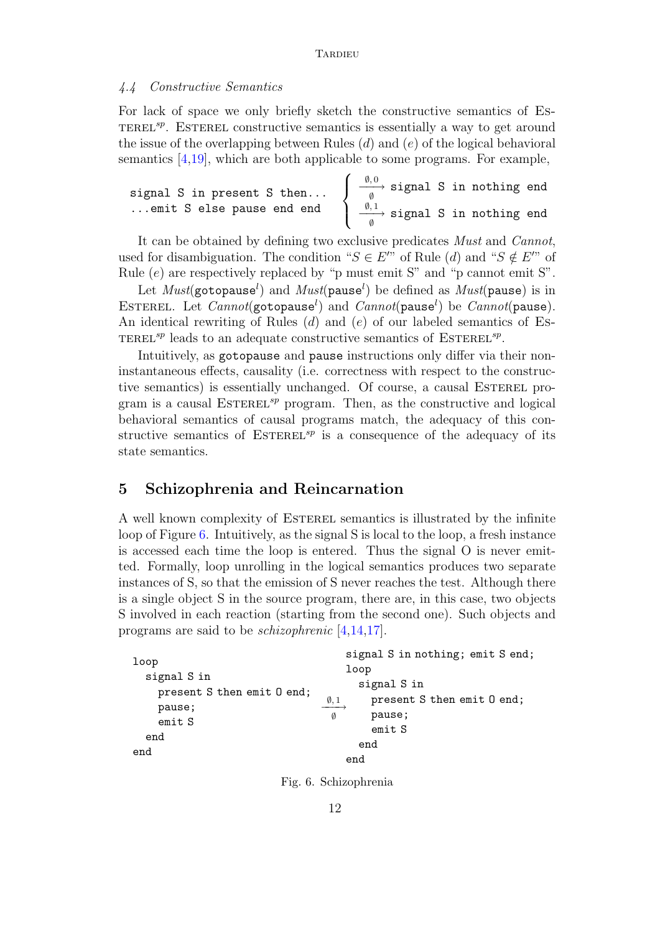### <span id="page-11-1"></span>4.4 Constructive Semantics

For lack of space we only briefly sketch the constructive semantics of Es-TEREL<sup>SP</sup>. ESTEREL constructive semantics is essentially a way to get around the issue of the overlapping between Rules  $(d)$  and  $(e)$  of the logical behavioral semantics [\[4](#page-13-0)[,19\]](#page-14-10), which are both applicable to some programs. For example,

\n signal S in present S then...\n 
$$
\begin{cases}\n \frac{\emptyset,0}{\emptyset} \text{ signal S in nothing end} \\
 \frac{\emptyset,1}{\emptyset} \text{ signal S in nothing end}\n \end{cases}
$$
\n

It can be obtained by defining two exclusive predicates Must and Cannot, used for disambiguation. The condition " $S \in E''$ " of Rule (d) and " $S \notin E''$ " of Rule  $(e)$  are respectively replaced by "p must emit S" and "p cannot emit S".

Let  $\mathit{Must}(\texttt{gotopause}^l)$  and  $\mathit{Must}(\texttt{pause}^l)$  be defined as  $\mathit{Must}(\texttt{pause})$  is in ESTEREL. Let  $Cannot(\texttt{gotopause}^l)$  and  $Cannot(\texttt{pause}^l)$  be  $Cannot(\texttt{pause})$ . An identical rewriting of Rules  $(d)$  and  $(e)$  of our labeled semantics of Es-TEREL<sup>SP</sup> leads to an adequate constructive semantics of  $\text{ESTEREL}^{sp}$ .

Intuitively, as gotopause and pause instructions only differ via their noninstantaneous effects, causality (i.e. correctness with respect to the constructive semantics) is essentially unchanged. Of course, a causal ESTEREL program is a causal ESTEREL<sup>sp</sup> program. Then, as the constructive and logical behavioral semantics of causal programs match, the adequacy of this constructive semantics of  $ESTEREL^{sp}$  is a consequence of the adequacy of its state semantics.

## <span id="page-11-0"></span>5 Schizophrenia and Reincarnation

A well known complexity of Esterel semantics is illustrated by the infinite loop of Figure [6.](#page-11-2) Intuitively, as the signal S is local to the loop, a fresh instance is accessed each time the loop is entered. Thus the signal O is never emitted. Formally, loop unrolling in the logical semantics produces two separate instances of S, so that the emission of S never reaches the test. Although there is a single object S in the source program, there are, in this case, two objects S involved in each reaction (starting from the second one). Such objects and programs are said to be schizophrenic [\[4](#page-13-0)[,14,](#page-14-5)[17\]](#page-14-6).

| loop                                      | signal S in nothing; emit S end;<br>loop                     |  |
|-------------------------------------------|--------------------------------------------------------------|--|
| signal S in<br>present S then emit 0 end; | signal S in                                                  |  |
| pause;<br>emit S                          | present S then emit 0 end;<br>$\emptyset$ , 1<br>pause;<br>Ø |  |
| end                                       | emit S<br>end                                                |  |
| end                                       | end                                                          |  |

<span id="page-11-2"></span>Fig. 6. Schizophrenia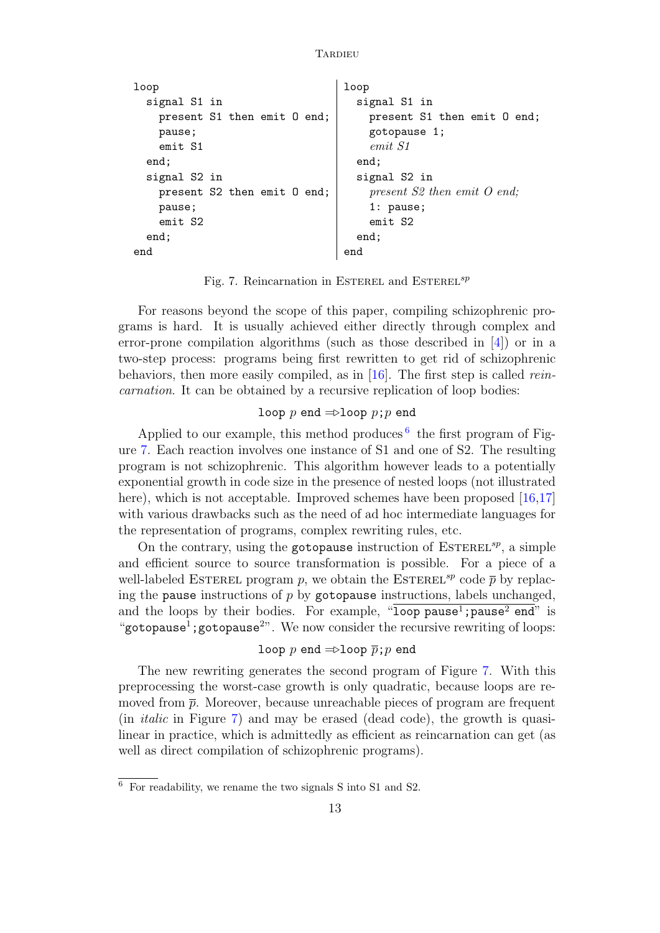```
TARDIEU
```

```
loop
  signal S1 in
    present S1 then emit O end;
    pause;
    emit S1
  end;
  signal S2 in
    present S2 then emit O end;
    pause;
    emit S2
  end;
end
                                    loop
                                      signal S1 in
                                        present S1 then emit O end;
                                        gotopause 1;
                                        emit S1
                                      end;
                                      signal S2 in
                                        present S2 then emit O end;
                                        1: pause;
                                        emit S2
                                      end;
                                    end
```
<span id="page-12-1"></span>Fig. 7. Reincarnation in ESTEREL and ESTEREL<sup>sp</sup>

For reasons beyond the scope of this paper, compiling schizophrenic programs is hard. It is usually achieved either directly through complex and error-prone compilation algorithms (such as those described in [\[4\]](#page-13-0)) or in a two-step process: programs being first rewritten to get rid of schizophrenic behaviors, then more easily compiled, as in  $[16]$ . The first step is called *rein*carnation. It can be obtained by a recursive replication of loop bodies:

## loop p end  $\Rightarrow$ loop p; p end

Applied to our example, this method produces  $6$  the first program of Figure [7.](#page-12-1) Each reaction involves one instance of S1 and one of S2. The resulting program is not schizophrenic. This algorithm however leads to a potentially exponential growth in code size in the presence of nested loops (not illustrated here), which is not acceptable. Improved schemes have been proposed [\[16](#page-14-2)[,17\]](#page-14-6) with various drawbacks such as the need of ad hoc intermediate languages for the representation of programs, complex rewriting rules, etc.

On the contrary, using the gotopause instruction of  $E \text{STEREL}^{sp}$ , a simple and efficient source to source transformation is possible. For a piece of a well-labeled ESTEREL program p, we obtain the ESTEREL<sup>sp</sup> code  $\bar{p}$  by replacing the pause instructions of  $p$  by gotopause instructions, labels unchanged, and the loops by their bodies. For example, "loop pause<sup>1</sup>; pause<sup>2</sup> end" is "gotopause<sup>1</sup>; gotopause<sup>2"</sup>. We now consider the recursive rewriting of loops:

## loop p end  $\Rightarrow$ loop  $\overline{p}$ ; p end

The new rewriting generates the second program of Figure [7.](#page-12-1) With this preprocessing the worst-case growth is only quadratic, because loops are removed from  $\bar{p}$ . Moreover, because unreachable pieces of program are frequent (in italic in Figure [7\)](#page-12-1) and may be erased (dead code), the growth is quasilinear in practice, which is admittedly as efficient as reincarnation can get (as well as direct compilation of schizophrenic programs).

<span id="page-12-0"></span><sup>6</sup> For readability, we rename the two signals S into S1 and S2.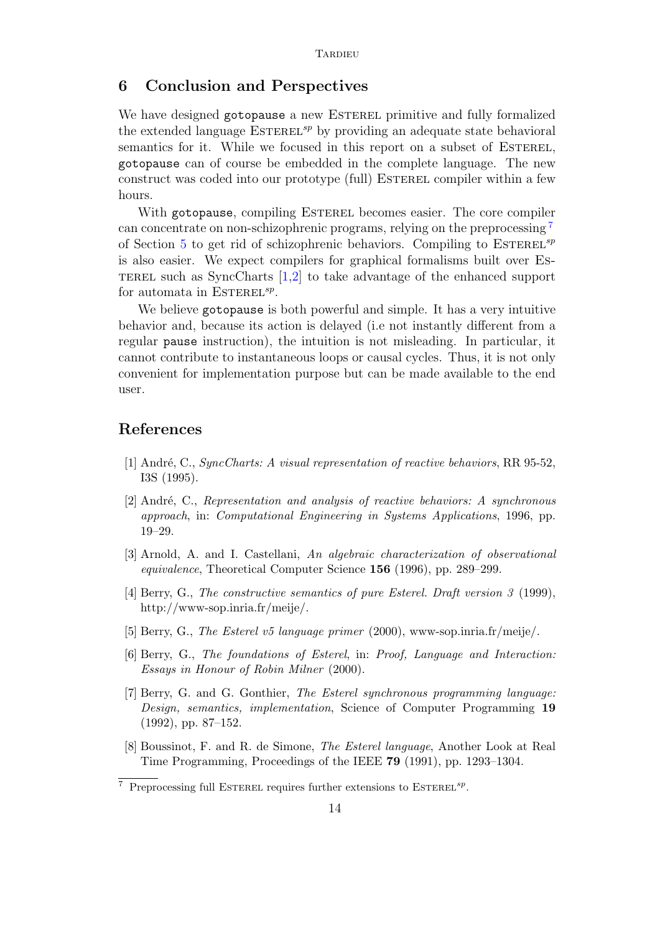## 6 Conclusion and Perspectives

We have designed gotopause a new ESTEREL primitive and fully formalized the extended language  $\text{ESTEREL}^{sp}$  by providing an adequate state behavioral semantics for it. While we focused in this report on a subset of ESTEREL, gotopause can of course be embedded in the complete language. The new construct was coded into our prototype (full) ESTEREL compiler within a few hours.

With gotopause, compiling ESTEREL becomes easier. The core compiler can concentrate on non-schizophrenic programs, relying on the preprocessing [7](#page-13-7) of Section [5](#page-11-0) to get rid of schizophrenic behaviors. Compiling to  $\text{ESTEREL}^{sp}$ is also easier. We expect compilers for graphical formalisms built over Es-TEREL such as SyncCharts  $[1,2]$  $[1,2]$  to take advantage of the enhanced support for automata in  $\text{ESTEREL}^{sp}$ .

We believe gotopause is both powerful and simple. It has a very intuitive behavior and, because its action is delayed (i.e not instantly different from a regular pause instruction), the intuition is not misleading. In particular, it cannot contribute to instantaneous loops or causal cycles. Thus, it is not only convenient for implementation purpose but can be made available to the end user.

## References

- <span id="page-13-5"></span>[1] André, C., SyncCharts: A visual representation of reactive behaviors, RR 95-52, I3S (1995).
- <span id="page-13-8"></span>[2] Andr´e, C., Representation and analysis of reactive behaviors: A synchronous approach, in: Computational Engineering in Systems Applications, 1996, pp. 19–29.
- <span id="page-13-6"></span>[3] Arnold, A. and I. Castellani, An algebraic characterization of observational equivalence, Theoretical Computer Science 156 (1996), pp. 289–299.
- <span id="page-13-0"></span>[4] Berry, G., The constructive semantics of pure Esterel. Draft version 3 (1999), http://www-sop.inria.fr/meije/.
- <span id="page-13-1"></span>[5] Berry, G., The Esterel v5 language primer (2000), www-sop.inria.fr/meije/.
- <span id="page-13-2"></span>[6] Berry, G., The foundations of Esterel, in: Proof, Language and Interaction: Essays in Honour of Robin Milner (2000).
- <span id="page-13-3"></span>[7] Berry, G. and G. Gonthier, The Esterel synchronous programming language: Design, semantics, implementation, Science of Computer Programming 19 (1992), pp. 87–152.
- <span id="page-13-4"></span>[8] Boussinot, F. and R. de Simone, The Esterel language, Another Look at Real Time Programming, Proceedings of the IEEE 79 (1991), pp. 1293–1304.

<span id="page-13-7"></span><sup>&</sup>lt;sup>7</sup> Preprocessing full ESTEREL requires further extensions to ESTEREL<sup>sp</sup>.